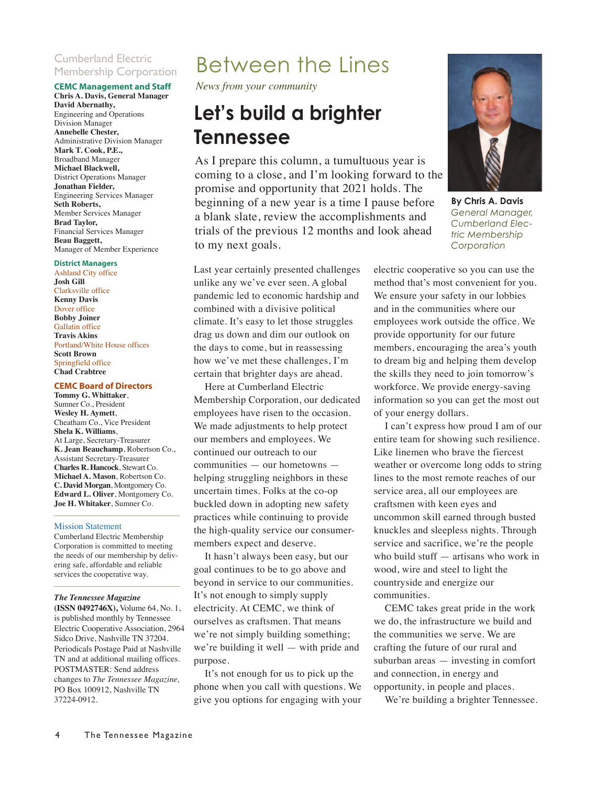### Cumberland Electric Membership Corporation

#### **CEMC Management and Staff**

**Chris A. Davis, General Manager David Abernathy,** Engineering and Operations Division Manager **Annebelle Chester,** Administrative Division Manager **Mark T. Cook, P.E.,** Broadband Manager **Michael Blackwell,** District Operations Manager **Jonathan Fielder,**  Engineering Services Manager **Seth Roberts,** Member Services Manager **Brad Taylor,**  Financial Services Manager **Beau Baggett,**  Manager of Member Experience

#### **District Managers**

Ashland City office **Josh Gill** Clarksville office **Kenny Davis** Dover office **Bobby Joiner** Gallatin office **Travis Akins** Portland/White House offices **Scott Brown** Springfield office **Chad Crabtree**

#### **CEMC Board of Directors**

**Tommy G. Whittaker**, Sumner Co., President **Wesley H. Aymett**, Cheatham Co., Vice President **Shela K. Williams**, At Large, Secretary-Treasurer **K. Jean Beauchamp**, Robertson Co., Assistant Secretary-Treasurer **Charles R. Hancock**, Stewart Co. **Michael A. Mason**, Robertson Co. **C. David Morgan**, Montgomery Co. **Edward L. Oliver**, Montgomery Co. **Joe H. Whitaker**, Sumner Co.

#### Mission Statement

Cumberland Electric Membership Corporation is committed to meeting the needs of our membership by delivering safe, affordable and reliable services the cooperative way.

#### *The Tennessee Magazine*

**(ISSN 0492746X),** Volume 64, No. 1, is published monthly by Tennessee Electric Cooperative Association, 2964 Sidco Drive, Nashville TN 37204. Periodicals Postage Paid at Nashville TN and at additional mailing offices. POSTMASTER: Send address changes to *The Tennessee Magazine,* PO Box 100912, Nashville TN 37224-0912.

### Between the Lines

*News from your community*

### **Let's build a brighter Tennessee**

As I prepare this column, a tumultuous year is coming to a close, and I'm looking forward to the promise and opportunity that 2021 holds. The beginning of a new year is a time I pause before a blank slate, review the accomplishments and trials of the previous 12 months and look ahead to my next goals.

Last year certainly presented challenges unlike any we've ever seen. A global pandemic led to economic hardship and combined with a divisive political climate. It's easy to let those struggles drag us down and dim our outlook on the days to come, but in reassessing how we've met these challenges, I'm certain that brighter days are ahead.

Here at Cumberland Electric Membership Corporation, our dedicated employees have risen to the occasion. We made adjustments to help protect our members and employees. We continued our outreach to our communities — our hometowns helping struggling neighbors in these uncertain times. Folks at the co-op buckled down in adopting new safety practices while continuing to provide the high-quality service our consumermembers expect and deserve.

It hasn't always been easy, but our goal continues to be to go above and beyond in service to our communities. It's not enough to simply supply electricity. At CEMC, we think of ourselves as craftsmen. That means we're not simply building something; we're building it well — with pride and purpose.

It's not enough for us to pick up the phone when you call with questions. We give you options for engaging with your



**By Chris A. Davis** *General Manager, Cumberland Electric Membership Corporation*

electric cooperative so you can use the method that's most convenient for you. We ensure your safety in our lobbies and in the communities where our employees work outside the office. We provide opportunity for our future members, encouraging the area's youth to dream big and helping them develop the skills they need to join tomorrow's workforce. We provide energy-saving information so you can get the most out of your energy dollars.

I can't express how proud I am of our entire team for showing such resilience. Like linemen who brave the fiercest weather or overcome long odds to string lines to the most remote reaches of our service area, all our employees are craftsmen with keen eyes and uncommon skill earned through busted knuckles and sleepless nights. Through service and sacrifice, we're the people who build stuff — artisans who work in wood, wire and steel to light the countryside and energize our communities.

CEMC takes great pride in the work we do, the infrastructure we build and the communities we serve. We are crafting the future of our rural and suburban areas — investing in comfort and connection, in energy and opportunity, in people and places.

We're building a brighter Tennessee.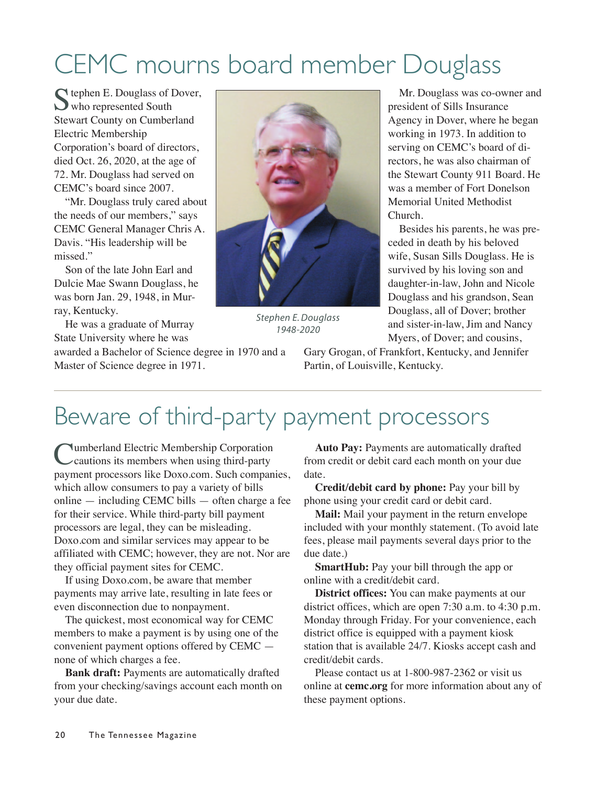# CEMC mourns board member Douglass

C tephen E. Douglass of Dover, who represented South Stewart County on Cumberland Electric Membership Corporation's board of directors, died Oct. 26, 2020, at the age of 72. Mr. Douglass had served on CEMC's board since 2007.

"Mr. Douglass truly cared about the needs of our members," says CEMC General Manager Chris A. Davis. "His leadership will be missed."

Son of the late John Earl and Dulcie Mae Swann Douglass, he was born Jan. 29, 1948, in Murray, Kentucky.

He was a graduate of Murray State University where he was

awarded a Bachelor of Science degree in 1970 and a Master of Science degree in 1971.



*Stephen E. Douglass 1948-2020*

Mr. Douglass was co-owner and president of Sills Insurance Agency in Dover, where he began working in 1973. In addition to serving on CEMC's board of directors, he was also chairman of the Stewart County 911 Board. He was a member of Fort Donelson Memorial United Methodist Church.

Besides his parents, he was preceded in death by his beloved wife, Susan Sills Douglass. He is survived by his loving son and daughter-in-law, John and Nicole Douglass and his grandson, Sean Douglass, all of Dover; brother and sister-in-law, Jim and Nancy Myers, of Dover; and cousins,

Gary Grogan, of Frankfort, Kentucky, and Jennifer Partin, of Louisville, Kentucky.

## Beware of third-party payment processors

**Numberland Electric Membership Corporation** cautions its members when using third-party payment processors like Doxo.com. Such companies, which allow consumers to pay a variety of bills online — including CEMC bills — often charge a fee for their service. While third-party bill payment processors are legal, they can be misleading. Doxo.com and similar services may appear to be affiliated with CEMC; however, they are not. Nor are they official payment sites for CEMC.

If using Doxo.com, be aware that member payments may arrive late, resulting in late fees or even disconnection due to nonpayment.

The quickest, most economical way for CEMC members to make a payment is by using one of the convenient payment options offered by CEMC none of which charges a fee.

**Bank draft:** Payments are automatically drafted from your checking/savings account each month on your due date.

**Auto Pay:** Payments are automatically drafted from credit or debit card each month on your due date.

**Credit/debit card by phone:** Pay your bill by phone using your credit card or debit card.

**Mail:** Mail your payment in the return envelope included with your monthly statement. (To avoid late fees, please mail payments several days prior to the due date.)

**SmartHub:** Pay your bill through the app or online with a credit/debit card.

**District offices:** You can make payments at our district offices, which are open 7:30 a.m. to 4:30 p.m. Monday through Friday. For your convenience, each district office is equipped with a payment kiosk station that is available 24/7. Kiosks accept cash and credit/debit cards.

Please contact us at 1-800-987-2362 or visit us online at **cemc.org** for more information about any of these payment options.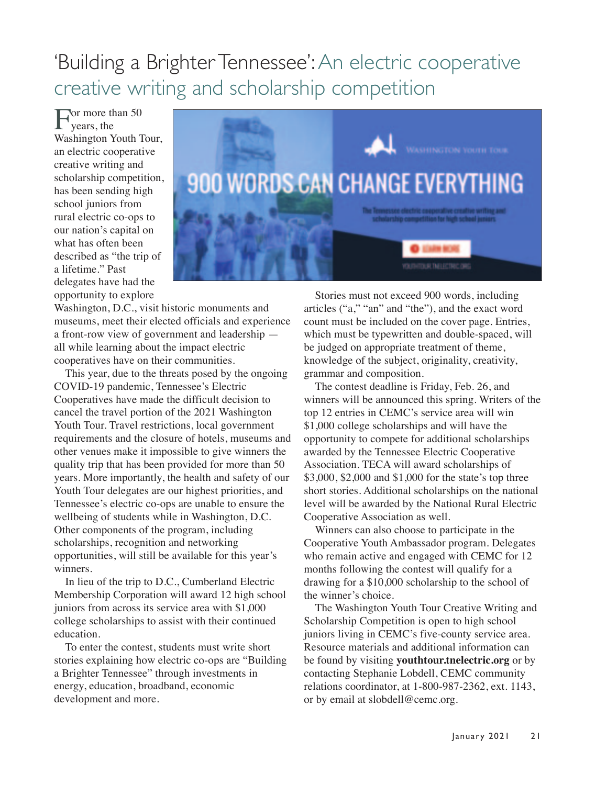### 'Building a Brighter Tennessee': An electric cooperative creative writing and scholarship competition

For more than 50<br>Wears, the Washington Youth Tour, an electric cooperative creative writing and scholarship competition, has been sending high school juniors from rural electric co-ops to our nation's capital on what has often been described as "the trip of a lifetime." Past delegates have had the opportunity to explore



Washington, D.C., visit historic monuments and museums, meet their elected officials and experience a front-row view of government and leadership all while learning about the impact electric cooperatives have on their communities.

This year, due to the threats posed by the ongoing COVID-19 pandemic, Tennessee's Electric Cooperatives have made the difficult decision to cancel the travel portion of the 2021 Washington Youth Tour. Travel restrictions, local government requirements and the closure of hotels, museums and other venues make it impossible to give winners the quality trip that has been provided for more than 50 years. More importantly, the health and safety of our Youth Tour delegates are our highest priorities, and Tennessee's electric co-ops are unable to ensure the wellbeing of students while in Washington, D.C. Other components of the program, including scholarships, recognition and networking opportunities, will still be available for this year's winners.

In lieu of the trip to D.C., Cumberland Electric Membership Corporation will award 12 high school juniors from across its service area with \$1,000 college scholarships to assist with their continued education.

To enter the contest, students must write short stories explaining how electric co-ops are "Building a Brighter Tennessee" through investments in energy, education, broadband, economic development and more.

Stories must not exceed 900 words, including articles ("a," "an" and "the"), and the exact word count must be included on the cover page. Entries, which must be typewritten and double-spaced, will be judged on appropriate treatment of theme, knowledge of the subject, originality, creativity, grammar and composition.

The contest deadline is Friday, Feb. 26, and winners will be announced this spring. Writers of the top 12 entries in CEMC's service area will win \$1,000 college scholarships and will have the opportunity to compete for additional scholarships awarded by the Tennessee Electric Cooperative Association. TECA will award scholarships of \$3,000, \$2,000 and \$1,000 for the state's top three short stories. Additional scholarships on the national level will be awarded by the National Rural Electric Cooperative Association as well.

Winners can also choose to participate in the Cooperative Youth Ambassador program. Delegates who remain active and engaged with CEMC for 12 months following the contest will qualify for a drawing for a \$10,000 scholarship to the school of the winner's choice.

The Washington Youth Tour Creative Writing and Scholarship Competition is open to high school juniors living in CEMC's five-county service area. Resource materials and additional information can be found by visiting **youthtour.tnelectric.org** or by contacting Stephanie Lobdell, CEMC community relations coordinator, at 1-800-987-2362, ext. 1143, or by email at slobdell@cemc.org.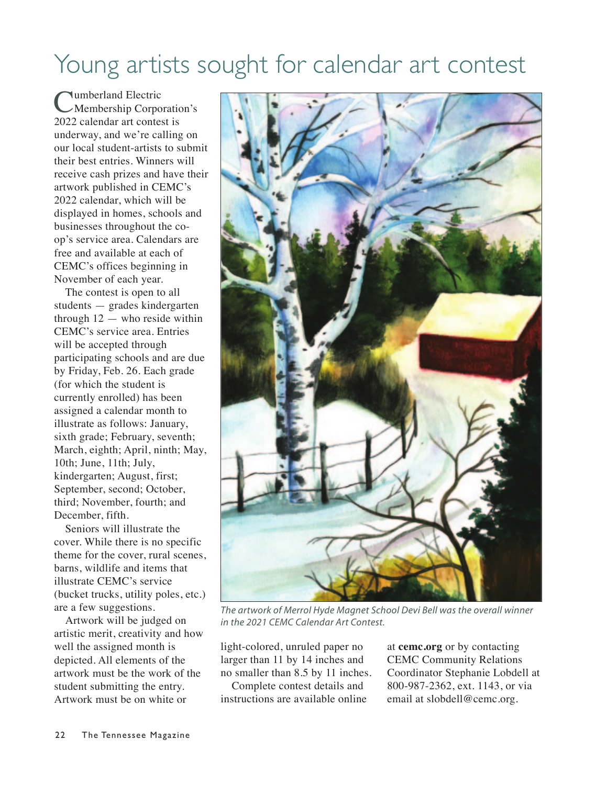## Young artists sought for calendar art contest

Cumberland Electric<br>
Membership Corporation's 2022 calendar art contest is underway, and we're calling on our local student-artists to submit their best entries. Winners will receive cash prizes and have their artwork published in CEMC's 2022 calendar, which will be displayed in homes, schools and businesses throughout the coop's service area. Calendars are free and available at each of CEMC's offices beginning in November of each year.

The contest is open to all students — grades kindergarten through  $12$  — who reside within CEMC's service area. Entries will be accepted through participating schools and are due by Friday, Feb. 26. Each grade (for which the student is currently enrolled) has been assigned a calendar month to illustrate as follows: January, sixth grade; February, seventh; March, eighth; April, ninth; May, 10th; June, 11th; July, kindergarten; August, first; September, second; October, third; November, fourth; and December, fifth.

Seniors will illustrate the cover. While there is no specific theme for the cover, rural scenes, barns, wildlife and items that illustrate CEMC's service (bucket trucks, utility poles, etc.) are a few suggestions.

Artwork will be judged on artistic merit, creativity and how well the assigned month is depicted. All elements of the artwork must be the work of the student submitting the entry. Artwork must be on white or



*The artwork of Merrol Hyde Magnet School Devi Bell was the overall winner in the 2021 CEMC Calendar Art Contest.* 

light-colored, unruled paper no larger than 11 by 14 inches and no smaller than 8.5 by 11 inches.

Complete contest details and instructions are available online at **cemc.org** or by contacting CEMC Community Relations Coordinator Stephanie Lobdell at 800-987-2362, ext. 1143, or via email at slobdell@cemc.org.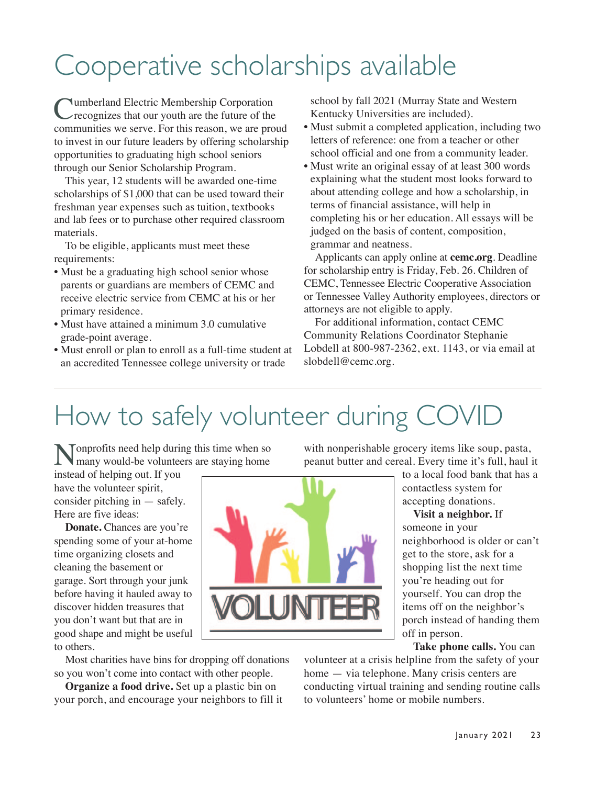# Cooperative scholarships available

Cumberland Electric Membership Corporation recognizes that our youth are the future of the communities we serve. For this reason, we are proud to invest in our future leaders by offering scholarship opportunities to graduating high school seniors through our Senior Scholarship Program.

This year, 12 students will be awarded one-time scholarships of \$1,000 that can be used toward their freshman year expenses such as tuition, textbooks and lab fees or to purchase other required classroom materials.

To be eligible, applicants must meet these requirements:

- Must be a graduating high school senior whose parents or guardians are members of CEMC and receive electric service from CEMC at his or her primary residence.
- Must have attained a minimum 3.0 cumulative grade-point average.
- Must enroll or plan to enroll as a full-time student at an accredited Tennessee college university or trade

school by fall 2021 (Murray State and Western Kentucky Universities are included).

- Must submit a completed application, including two letters of reference: one from a teacher or other school official and one from a community leader.
- Must write an original essay of at least 300 words explaining what the student most looks forward to about attending college and how a scholarship, in terms of financial assistance, will help in completing his or her education. All essays will be judged on the basis of content, composition, grammar and neatness.

Applicants can apply online at **cemc.org**. Deadline for scholarship entry is Friday, Feb. 26. Children of CEMC, Tennessee Electric Cooperative Association or Tennessee Valley Authority employees, directors or attorneys are not eligible to apply.

For additional information, contact CEMC Community Relations Coordinator Stephanie Lobdell at 800-987-2362, ext. 1143, or via email at slobdell@cemc.org.

# How to safely volunteer during COVID

Nonprofits need help during this time when so many would-be volunteers are staying home

instead of helping out. If you have the volunteer spirit, consider pitching in — safely. Here are five ideas:

**Donate.** Chances are you're spending some of your at-home time organizing closets and cleaning the basement or garage. Sort through your junk before having it hauled away to discover hidden treasures that you don't want but that are in good shape and might be useful to others.



Most charities have bins for dropping off donations so you won't come into contact with other people.

**Organize a food drive.** Set up a plastic bin on your porch, and encourage your neighbors to fill it with nonperishable grocery items like soup, pasta, peanut butter and cereal. Every time it's full, haul it

> to a local food bank that has a contactless system for accepting donations.

**Visit a neighbor.** If someone in your neighborhood is older or can't get to the store, ask for a shopping list the next time you're heading out for yourself. You can drop the items off on the neighbor's porch instead of handing them off in person.

**Take phone calls.** You can

volunteer at a crisis helpline from the safety of your home — via telephone. Many crisis centers are conducting virtual training and sending routine calls to volunteers' home or mobile numbers.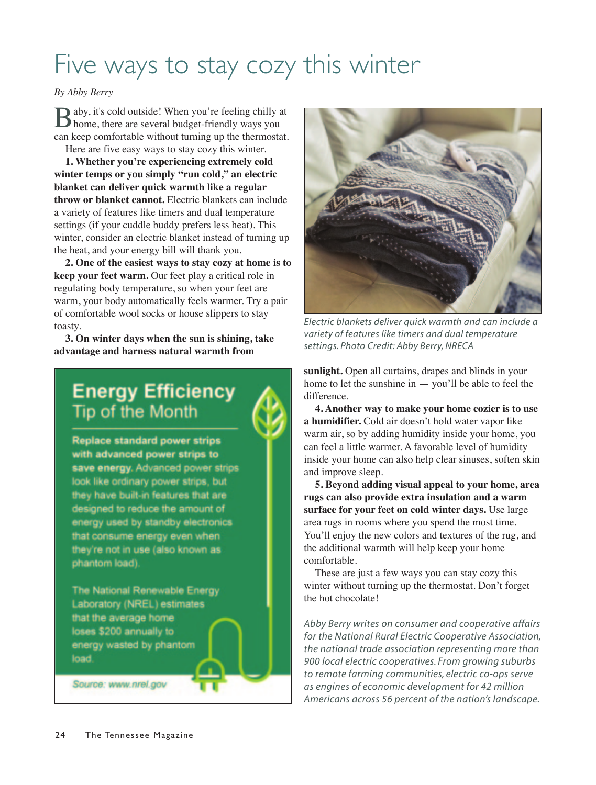## Five ways to stay cozy this winter

### *By Abby Berry*

Baby, it's cold outside! When you're feeling chilly at home, there are several budget-friendly ways you can keep comfortable without turning up the thermostat.

Here are five easy ways to stay cozy this winter.

**1. Whether you're experiencing extremely cold winter temps or you simply "run cold," an electric blanket can deliver quick warmth like a regular throw or blanket cannot.** Electric blankets can include a variety of features like timers and dual temperature settings (if your cuddle buddy prefers less heat). This winter, consider an electric blanket instead of turning up the heat, and your energy bill will thank you.

**2. One of the easiest ways to stay cozy at home is to keep your feet warm.** Our feet play a critical role in regulating body temperature, so when your feet are warm, your body automatically feels warmer. Try a pair of comfortable wool socks or house slippers to stay toasty.

**3. On winter days when the sun is shining, take advantage and harness natural warmth from**

### **Energy Efficiency Tip of the Month**

**Replace standard power strips** with advanced power strips to save energy. Advanced power strips look like ordinary power strips, but they have built-in features that are designed to reduce the amount of energy used by standby electronics that consume energy even when they're not in use (also known as phantom load).

The National Renewable Energy **Laboratory (NREL) estimates** that the average home loses \$200 annually to energy wasted by phantom load.

Source: www.nrel.gov



*Electric blankets deliver quick warmth and can include a variety of features like timers and dual temperature settings. Photo Credit: Abby Berry, NRECA*

**sunlight.** Open all curtains, drapes and blinds in your home to let the sunshine in  $-$  you'll be able to feel the difference.

**4. Another way to make your home cozier is to use a humidifier.** Cold air doesn't hold water vapor like warm air, so by adding humidity inside your home, you can feel a little warmer. A favorable level of humidity inside your home can also help clear sinuses, soften skin and improve sleep.

**5. Beyond adding visual appeal to your home, area rugs can also provide extra insulation and a warm surface for your feet on cold winter days.** Use large area rugs in rooms where you spend the most time. You'll enjoy the new colors and textures of the rug, and the additional warmth will help keep your home comfortable.

These are just a few ways you can stay cozy this winter without turning up the thermostat. Don't forget the hot chocolate!

*Abby Berry writes on consumer and cooperative affairs for the National Rural Electric Cooperative Association, the national trade association representing more than 900 local electric cooperatives. From growing suburbs to remote farming communities, electric co-ops serve as engines of economic development for 42 million Americans across 56 percent of the nation's landscape.*